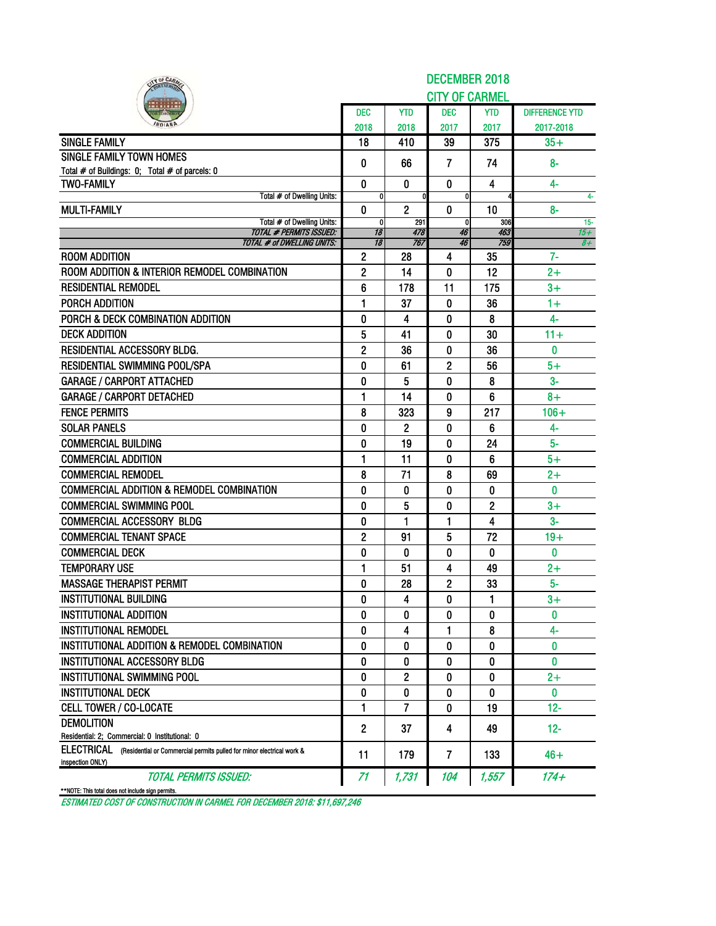| IY OF CARA                                                                                           | <b>DECEMBER 2018</b> |                |                       |              |                       |  |  |  |  |  |  |
|------------------------------------------------------------------------------------------------------|----------------------|----------------|-----------------------|--------------|-----------------------|--|--|--|--|--|--|
|                                                                                                      |                      |                | <b>CITY OF CARMEL</b> |              |                       |  |  |  |  |  |  |
|                                                                                                      | <b>DEC</b>           | <b>YTD</b>     | dec                   | <b>YTD</b>   | <b>DIFFERENCE YTD</b> |  |  |  |  |  |  |
|                                                                                                      | 2018                 | 2018           | 2017                  | 2017         | 2017-2018             |  |  |  |  |  |  |
| <b>SINGLE FAMILY</b>                                                                                 | 18                   | 410            | 39                    | 375          | $35+$                 |  |  |  |  |  |  |
| <b>SINGLE FAMILY TOWN HOMES</b>                                                                      | 0                    | 66             | $\overline{7}$        | 74           | $8-$                  |  |  |  |  |  |  |
| Total # of Buildings: 0; Total # of parcels: 0                                                       |                      |                |                       |              |                       |  |  |  |  |  |  |
| <b>TWO-FAMILY</b><br>Total # of Dwelling Units:                                                      | $\bf{0}$<br>0        | $\mathbf{0}$   | $\mathbf{0}$<br>0     | 4            | $4-$                  |  |  |  |  |  |  |
| <b>MULTI-FAMILY</b>                                                                                  | 0                    | $\overline{2}$ | $\mathbf{0}$          | 10           | 4-<br>$8-$            |  |  |  |  |  |  |
| Total # of Dwelling Units:                                                                           | $\mathbf{0}$         | 291            | $\mathbf{0}$          | 306          | $15 -$                |  |  |  |  |  |  |
| <b>TOTAL # PERMITS ISSUED:</b>                                                                       | 18                   | 478<br>767     | 46                    | 463<br>759   | 15+                   |  |  |  |  |  |  |
| <b>TOTAL # of DWELLING UNITS:</b><br><b>ROOM ADDITION</b>                                            | 18<br>$\mathbf{2}$   | 28             | 46<br>4               | 35           | $8+$<br>7-            |  |  |  |  |  |  |
| ROOM ADDITION & INTERIOR REMODEL COMBINATION                                                         | $\overline{2}$       | 14             | 0                     | 12           | $2+$                  |  |  |  |  |  |  |
| <b>RESIDENTIAL REMODEL</b>                                                                           |                      |                |                       |              |                       |  |  |  |  |  |  |
|                                                                                                      | 6                    | 178            | 11                    | 175          | $3+$                  |  |  |  |  |  |  |
| PORCH ADDITION                                                                                       | 1                    | 37             | 0                     | 36           | $1+$                  |  |  |  |  |  |  |
| PORCH & DECK COMBINATION ADDITION                                                                    | 0                    | 4              | 0                     | 8            | $4-$                  |  |  |  |  |  |  |
| <b>DECK ADDITION</b>                                                                                 | 5                    | 41             | 0                     | 30           | $11 +$                |  |  |  |  |  |  |
| RESIDENTIAL ACCESSORY BLDG.                                                                          | $\overline{2}$       | 36             | 0                     | 36           | 0                     |  |  |  |  |  |  |
| <b>RESIDENTIAL SWIMMING POOL/SPA</b>                                                                 | 0                    | 61             | 2                     | 56           | $5+$                  |  |  |  |  |  |  |
| <b>GARAGE / CARPORT ATTACHED</b>                                                                     | 0                    | 5              | 0                     | 8            | $3-$                  |  |  |  |  |  |  |
| <b>GARAGE / CARPORT DETACHED</b>                                                                     | 1                    | 14             | 0                     | 6            | $8+$                  |  |  |  |  |  |  |
| <b>FENCE PERMITS</b>                                                                                 | 8                    | 323            | 9                     | 217          | $106 +$               |  |  |  |  |  |  |
| <b>SOLAR PANELS</b>                                                                                  | 0                    | 2              | 0                     | 6            | 4-                    |  |  |  |  |  |  |
| <b>COMMERCIAL BUILDING</b>                                                                           | 0                    | 19             | $\mathbf{0}$          | 24           | $5-$                  |  |  |  |  |  |  |
| <b>COMMERCIAL ADDITION</b>                                                                           | 1                    | 11             | 0                     | 6            | $5+$                  |  |  |  |  |  |  |
| <b>COMMERCIAL REMODEL</b>                                                                            | 8                    | 71             | 8                     | 69           | $2+$                  |  |  |  |  |  |  |
| <b>COMMERCIAL ADDITION &amp; REMODEL COMBINATION</b>                                                 | 0                    | 0              | 0                     | 0            | 0                     |  |  |  |  |  |  |
| <b>COMMERCIAL SWIMMING POOL</b>                                                                      | 0                    | 5              | 0                     | $\mathbf{2}$ | $3+$                  |  |  |  |  |  |  |
| <b>COMMERCIAL ACCESSORY BLDG</b>                                                                     | 0                    | 1              | 1                     | 4            | $3-$                  |  |  |  |  |  |  |
| <b>COMMERCIAL TENANT SPACE</b>                                                                       | 2                    | 91             | 5                     | 72           | $19+$                 |  |  |  |  |  |  |
| <b>COMMERCIAL DECK</b>                                                                               | 0                    | 0              | 0                     | $\mathbf{0}$ | $\bf{0}$              |  |  |  |  |  |  |
| <b>TEMPORARY USE</b>                                                                                 | 1                    | 51             | 4                     | 49           | $2+$                  |  |  |  |  |  |  |
| <b>MASSAGE THERAPIST PERMIT</b>                                                                      | 0                    | 28             | 2                     | 33           | $5-$                  |  |  |  |  |  |  |
| <b>INSTITUTIONAL BUILDING</b>                                                                        | O                    | 4              | O                     | 1            | $3+$                  |  |  |  |  |  |  |
| <b>INSTITUTIONAL ADDITION</b>                                                                        | 0                    | 0              | 0                     | 0            | $\mathbf{0}$          |  |  |  |  |  |  |
| <b>INSTITUTIONAL REMODEL</b>                                                                         | 0                    | 4              | 1                     | 8            | 4-                    |  |  |  |  |  |  |
| INSTITUTIONAL ADDITION & REMODEL COMBINATION                                                         | 0                    | 0              | 0                     | 0            | 0                     |  |  |  |  |  |  |
| <b>INSTITUTIONAL ACCESSORY BLDG</b>                                                                  | 0                    | 0              | 0                     | 0            | 0                     |  |  |  |  |  |  |
| INSTITUTIONAL SWIMMING POOL                                                                          | 0                    | 2              | 0                     | 0            | $2+$                  |  |  |  |  |  |  |
| <b>INSTITUTIONAL DECK</b>                                                                            | 0                    | 0              | 0                     | 0            | $\mathbf{0}$          |  |  |  |  |  |  |
| <b>CELL TOWER / CO-LOCATE</b>                                                                        | 1                    | 7              | 0                     | 19           | $12 -$                |  |  |  |  |  |  |
| <b>DEMOLITION</b>                                                                                    | $\mathbf{2}$         | 37             | 4                     | 49           | $12 -$                |  |  |  |  |  |  |
| Residential: 2; Commercial: 0 Institutional: 0                                                       |                      |                |                       |              |                       |  |  |  |  |  |  |
| ELECTRICAL (Residential or Commercial permits pulled for minor electrical work &<br>inspection ONLY) | 11                   | 179            | 7                     | 133          | $46+$                 |  |  |  |  |  |  |
| <b>TOTAL PERMITS ISSUED:</b>                                                                         | 71                   | 1,731          | 104                   | 1,557        | $174 +$               |  |  |  |  |  |  |
| **NOTE: This total does not include sign permits.                                                    |                      |                |                       |              |                       |  |  |  |  |  |  |

ESTIMATED COST OF CONSTRUCTION IN CARMEL FOR DECEMBER 2018: \$11,697,246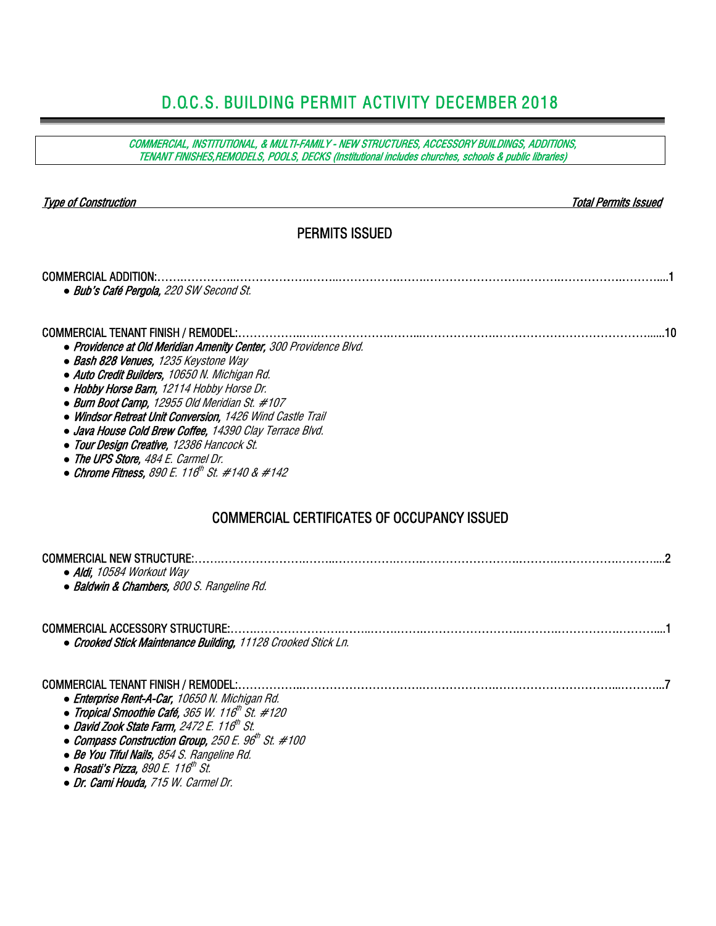### D.O.C.S. BUILDING PERMIT ACTIVITY DECEMBER 2018

COMMERCIAL, INSTITUTIONAL, & MULTI-FAMILY - NEW STRUCTURES, ACCESSORY BUILDINGS, ADDITIONS, TENANT FINISHES,REMODELS, POOLS, DECKS (Institutional includes churches, schools & public libraries) Type of Construction Total Permits Issued PERMITS ISSUED COMMERCIAL ADDITION:…….…………..……………….……..…………….…….…………………….……….…………….………....1 *●* Bub's Café Pergola, 220 SW Second St. COMMERCIAL TENANT FINISH / REMODEL:……………..….……………….……...……………….…………………………………......10 *●* Providence at Old Meridian Amenity Center, 300 Providence Blvd. *●* Bash 828 Venues, 1235 Keystone Way *●* Auto Credit Builders, 10650 N. Michigan Rd. *●* Hobby Horse Barn, 12114 Hobby Horse Dr. *●* Burn Boot Camp, 12955 Old Meridian St. #107 *●* Windsor Retreat Unit Conversion, 1426 Wind Castle Trail *●* Java House Cold Brew Coffee, 14390 Clay Terrace Blvd. *●* Tour Design Creative, 12386 Hancock St. *●* The UPS Store, 484 E. Carmel Dr. *●* Chrome Fitness, 890 E. 116th St. #140 & #142 COMMERCIAL CERTIFICATES OF OCCUPANCY ISSUED COMMERCIAL NEW STRUCTURE:…….………………….……..…………….…….…………………….……….…………….………....2 *●* Aldi, 10584 Workout Way *●* Baldwin & Chambers, 800 S. Rangeline Rd. COMMERCIAL ACCESSORY STRUCTURE:…….………………….……..…….…….…………………….……….…………….………....1 *●* Crooked Stick Maintenance Building, 11128 Crooked Stick Ln. COMMERCIAL TENANT FINISH / REMODEL:……………..………………………….……………….…………………………...………...7 *●* Enterprise Rent-A-Car, 10650 N. Michigan Rd. *● Tropical Smoothie Café, 365 W. 116<sup>th</sup> St. #120* **• David Zook State Farm,** 2472 E. 116th St. ● *Compass Construction Group, 250 E. 96<sup>th</sup> St. #100 ●* Be You Tiful Nails, 854 S. Rangeline Rd. ● Rosati's Pizza, 890 E. 116<sup>th</sup> St. *●* Dr. Cami Houda, 715 W. Carmel Dr.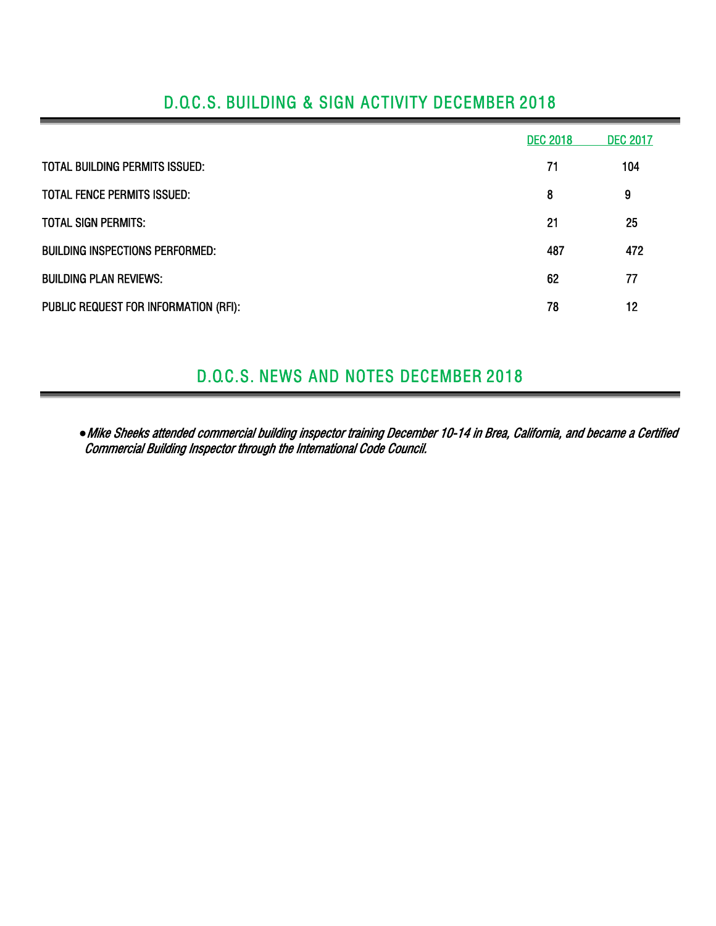|                                        | <b>DEC 2018</b> | <b>DEC 2017</b> |
|----------------------------------------|-----------------|-----------------|
| TOTAL BUILDING PERMITS ISSUED:         | 71              | 104             |
| <b>TOTAL FENCE PERMITS ISSUED:</b>     | 8               | 9               |
| <b>TOTAL SIGN PERMITS:</b>             | 21              | 25              |
| <b>BUILDING INSPECTIONS PERFORMED:</b> | 487             | 472             |
| <b>BUILDING PLAN REVIEWS:</b>          | 62              | 77              |
| PUBLIC REQUEST FOR INFORMATION (RFI):  | 78              | 12              |

# D.O.C.S. BUILDING & SIGN ACTIVITY DECEMBER 2018

## D.O.C.S. NEWS AND NOTES DECEMBER 2018

*●*Mike Sheeks attended commercial building inspector training December 10-14 in Brea, California, and became a Certified Commercial Building Inspector through the International Code Council.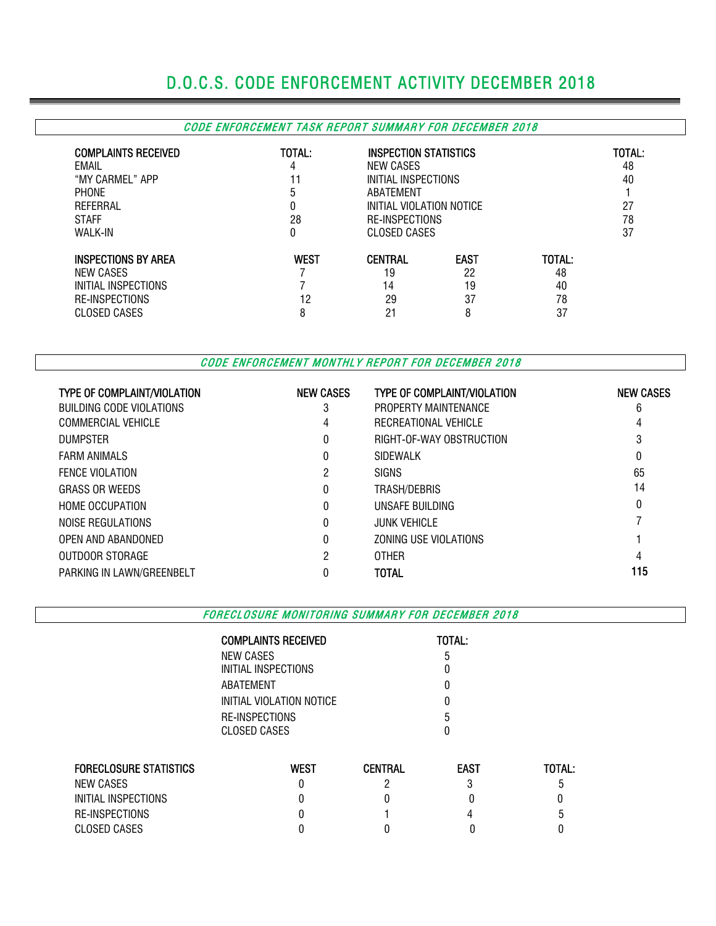# D.O.C.S. CODE ENFORCEMENT ACTIVITY DECEMBER 2018

#### CODE ENFORCEMENT TASK REPORT SUMMARY FOR DECEMBER 2018

| <b>COMPLAINTS RECEIVED</b><br>EMAIL<br>"MY CARMEL" APP<br><b>PHONE</b><br>REFERRAL<br><b>STAFF</b><br><b>WALK-IN</b> | TOTAL:<br>4<br>ხ<br>0<br>28<br>0 | <b>INSPECTION STATISTICS</b><br>NEW CASES<br>INITIAL INSPECTIONS<br>ABATEMENT<br>INITIAL VIOLATION NOTICE<br>RE-INSPECTIONS<br>CLOSED CASES |                                    |                                | TOTAL:<br>48<br>40<br>27<br>78<br>37 |
|----------------------------------------------------------------------------------------------------------------------|----------------------------------|---------------------------------------------------------------------------------------------------------------------------------------------|------------------------------------|--------------------------------|--------------------------------------|
| <b>INSPECTIONS BY AREA</b><br>NEW CASES<br>INITIAL INSPECTIONS<br><b>RE-INSPECTIONS</b><br>CLOSED CASES              | <b>WEST</b><br>12<br>8           | <b>CENTRAL</b><br>19<br>14<br>29<br>21                                                                                                      | <b>EAST</b><br>22<br>19<br>37<br>8 | TOTAL:<br>48<br>40<br>78<br>37 |                                      |

CODE ENFORCEMENT MONTHLY REPORT FOR DECEMBER 2018

| <b>TYPE OF COMPLAINT/VIOLATION</b> | <b>NEW CASES</b> | <b>TYPE OF COMPLAINT/VIOLATION</b> | <b>NEW CASES</b> |
|------------------------------------|------------------|------------------------------------|------------------|
| BUILDING CODE VIOLATIONS           | 3                | PROPERTY MAINTENANCE               | 6                |
| <b>COMMERCIAL VEHICLE</b>          | 4                | RECREATIONAL VEHICLE               | 4                |
| <b>DUMPSTER</b>                    | 0                | RIGHT-OF-WAY OBSTRUCTION           | 3                |
| <b>FARM ANIMALS</b>                |                  | SIDEWALK                           | 0                |
| <b>FENCE VIOLATION</b>             | 2                | <b>SIGNS</b>                       | 65               |
| <b>GRASS OR WEEDS</b>              | 0                | TRASH/DEBRIS                       | 14               |
| <b>HOME OCCUPATION</b>             |                  | UNSAFE BUILDING                    | 0                |
| NOISE REGULATIONS                  |                  | <b>JUNK VEHICLE</b>                |                  |
| OPEN AND ABANDONED                 | 0                | ZONING USE VIOLATIONS              |                  |
| OUTDOOR STORAGE                    | 2                | <b>OTHER</b>                       | 4                |
| PARKING IN LAWN/GREENBELT          |                  | TOTAL                              | 115              |

FORECLOSURE MONITORING SUMMARY FOR DECEMBER 2018

|                        | <b>COMPLAINTS RECEIVED</b> |                | TOTAL:      |        |  |  |  |  |
|------------------------|----------------------------|----------------|-------------|--------|--|--|--|--|
|                        | NEW CASES                  |                | 5           |        |  |  |  |  |
|                        | INITIAL INSPECTIONS        |                |             |        |  |  |  |  |
|                        | ABATEMENT                  |                |             |        |  |  |  |  |
|                        | INITIAL VIOLATION NOTICE   |                |             |        |  |  |  |  |
|                        | RE-INSPECTIONS             |                | ٠h          |        |  |  |  |  |
|                        | <b>CLOSED CASES</b>        |                |             |        |  |  |  |  |
| FORECLOSURE STATISTICS | <b>WEST</b>                | <b>CENTRAL</b> | <b>EAST</b> | TOTAL: |  |  |  |  |
| NEW CASES              | 0                          |                | 3           | ٠h     |  |  |  |  |
| INITIAL INSPECTIONS    | 0                          |                |             |        |  |  |  |  |
| RE-INSPECTIONS         |                            |                |             |        |  |  |  |  |

CLOSED CASES 0 0 0 0 0 0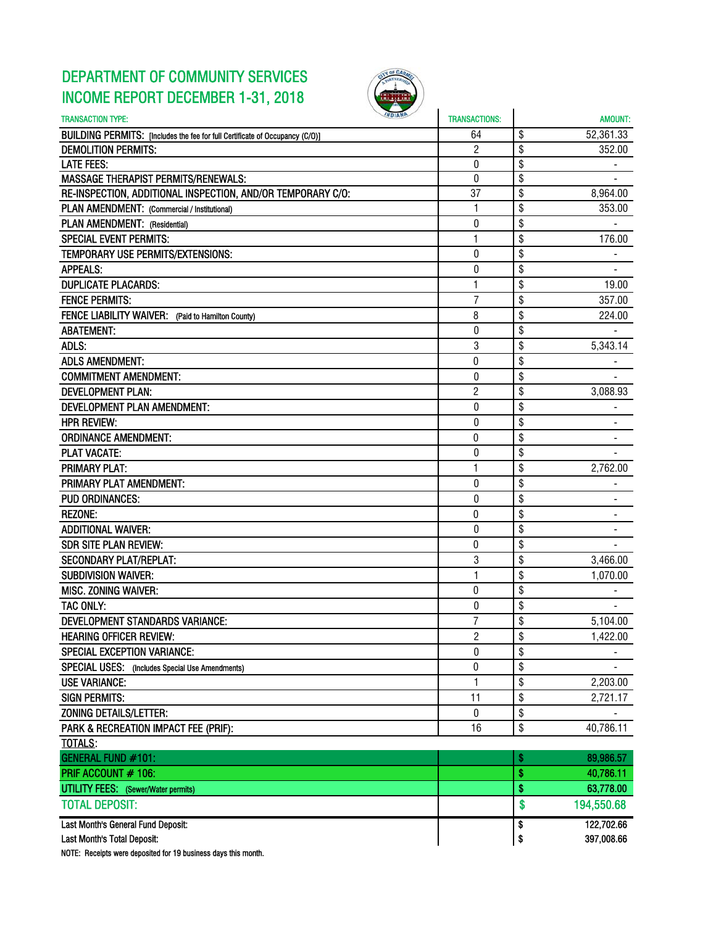## DEPARTMENT OF COMMUNITY SERVICES INCOME REPORT DECEMBER 1-31, 2018



| <b><i>NDIANA</i></b><br><b>TRANSACTION TYPE:</b>                             | <b>TRANSACTIONS:</b> | <b>AMOUNT:</b>   |
|------------------------------------------------------------------------------|----------------------|------------------|
| BUILDING PERMITS: [Includes the fee for full Certificate of Occupancy (C/O)] | 64                   | \$<br>52,361.33  |
| <b>DEMOLITION PERMITS:</b>                                                   | $\overline{2}$       | \$<br>352.00     |
| <b>LATE FEES:</b>                                                            | 0                    | \$               |
| <b>MASSAGE THERAPIST PERMITS/RENEWALS:</b>                                   | 0                    | \$               |
| RE-INSPECTION, ADDITIONAL INSPECTION, AND/OR TEMPORARY C/O:                  | 37                   | \$<br>8,964.00   |
| PLAN AMENDMENT: (Commercial / Institutional)                                 | 1                    | \$<br>353.00     |
| PLAN AMENDMENT: (Residential)                                                | 0                    | \$               |
| <b>SPECIAL EVENT PERMITS:</b>                                                | 1                    | \$<br>176.00     |
| TEMPORARY USE PERMITS/EXTENSIONS:                                            | 0                    | \$               |
| <b>APPEALS:</b>                                                              | 0                    | \$               |
| <b>DUPLICATE PLACARDS:</b>                                                   | 1                    | \$<br>19.00      |
| <b>FENCE PERMITS:</b>                                                        | $\overline{7}$       | \$<br>357.00     |
| FENCE LIABILITY WAIVER: (Paid to Hamilton County)                            | 8                    | \$<br>224.00     |
| <b>ABATEMENT:</b>                                                            | 0                    | \$               |
| ADLS:                                                                        | 3                    | \$<br>5,343.14   |
| <b>ADLS AMENDMENT:</b>                                                       | 0                    | \$<br>۰.         |
| <b>COMMITMENT AMENDMENT:</b>                                                 | 0                    | \$               |
| <b>DEVELOPMENT PLAN:</b>                                                     | $\overline{c}$       | \$<br>3,088.93   |
| <b>DEVELOPMENT PLAN AMENDMENT:</b>                                           | $\mathbf{0}$         | \$               |
| <b>HPR REVIEW:</b>                                                           | 0                    | \$               |
| <b>ORDINANCE AMENDMENT:</b>                                                  | 0                    | \$               |
| <b>PLAT VACATE:</b>                                                          | 0                    | \$               |
| <b>PRIMARY PLAT:</b>                                                         | $\mathbf{1}$         | \$<br>2,762.00   |
| PRIMARY PLAT AMENDMENT:                                                      | 0                    | \$               |
| <b>PUD ORDINANCES:</b>                                                       | 0                    | \$               |
| <b>REZONE:</b>                                                               | $\mathbf 0$          | \$               |
| <b>ADDITIONAL WAIVER:</b>                                                    | $\pmb{0}$            | \$<br>-          |
| <b>SDR SITE PLAN REVIEW:</b>                                                 | 0                    | \$               |
| <b>SECONDARY PLAT/REPLAT:</b>                                                | 3                    | \$<br>3,466.00   |
| <b>SUBDIVISION WAIVER:</b>                                                   | $\mathbf{1}$         | \$<br>1,070.00   |
| MISC. ZONING WAIVER:                                                         | 0                    | \$               |
| TAC ONLY:                                                                    | 0                    | \$               |
| DEVELOPMENT STANDARDS VARIANCE:                                              | $\overline{7}$       | \$<br>5,104.00   |
| <b>HEARING OFFICER REVIEW:</b>                                               | $\overline{c}$       | \$<br>1,422.00   |
| <b>SPECIAL EXCEPTION VARIANCE:</b>                                           | $\mathbf{0}$         | \$               |
| SPECIAL USES: (Includes Special Use Amendments)                              | 0                    | \$               |
| <b>USE VARIANCE:</b>                                                         | $\mathbf{1}$         | \$<br>2,203.00   |
| <b>SIGN PERMITS:</b>                                                         | 11                   | \$<br>2,721.17   |
| ZONING DETAILS/LETTER:                                                       | $\boldsymbol{0}$     | \$               |
| PARK & RECREATION IMPACT FEE (PRIF):                                         | 16                   | \$<br>40,786.11  |
| <b>TOTALS:</b>                                                               |                      |                  |
| <b>GENERAL FUND #101:</b>                                                    |                      | \$<br>89,986.57  |
| PRIF ACCOUNT # 106:                                                          |                      | \$<br>40,786.11  |
| <b>UTILITY FEES:</b> (Sewer/Water permits)                                   |                      | \$<br>63,778.00  |
| <b>TOTAL DEPOSIT:</b>                                                        |                      | \$<br>194,550.68 |
| Last Month's General Fund Deposit:                                           |                      | \$<br>122,702.66 |
| Last Month's Total Deposit:                                                  |                      | \$<br>397,008.66 |

NOTE: Receipts were deposited for 19 business days this month.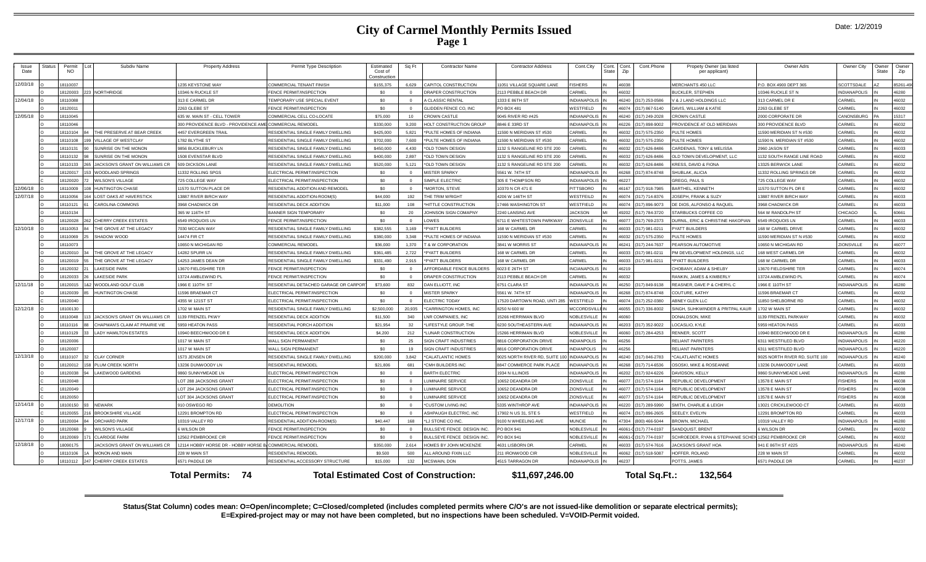### **City of Carmel Monthly Permits Issued Page 1**

| <b>Issue</b><br>Date                                                     | Status | Permit<br><b>NO</b>  | Subdiv Name                    | <b>Property Address</b>              | Permit Type Description                                            | Estimated<br>Cost of<br>Constructio | Sq Ft    | <b>Contractor Name</b>                                | <b>Contractor Address</b>                | Cont.City                                | Cont.<br>State | Cont.<br>Zip   | Cont.Phone                     | Propety Owner (as listed<br>per applicant)            | Owner Adrs                                | Owner City                            | Owner<br>State | Owner<br>Zip   |
|--------------------------------------------------------------------------|--------|----------------------|--------------------------------|--------------------------------------|--------------------------------------------------------------------|-------------------------------------|----------|-------------------------------------------------------|------------------------------------------|------------------------------------------|----------------|----------------|--------------------------------|-------------------------------------------------------|-------------------------------------------|---------------------------------------|----------------|----------------|
| 12/03/18                                                                 |        | 18110037             |                                | 1235 KEYSTONE WAY                    | COMMERCIAL TENANT FINISH                                           | \$155,375                           | 6.629    | CAPITOL CONSTRUCTION                                  | 11051 VILLAGE SQUARE LANE                | <b>ISHERS</b>                            |                | 46038          |                                | MERCHANTS 450 LLC                                     | P.O. BOX 4900 DEPT 365                    | <b>SCOTTSDALE</b>                     |                | 85261-490      |
|                                                                          |        | 18120003             | 223 NORTHRIDGE                 | 0346 N RUCKLE ST                     | FENCE PERMIT/INSPECTION                                            | \$0                                 | $\Omega$ | DRAPER CONSTRUCTION                                   | 2113 PEBBLE BEACH DR                     | <b>CARMEL</b>                            |                | 46032          |                                | BUCKLER, STEPHEN                                      | 10346 RUCKLE ST N                         | <b>INDIANAPOLIS</b>                   |                | 46280          |
| 12/04/18                                                                 |        | 18110088             |                                | 313 E CARMEL DR                      | <b>EMPORARY USE SPECIAL EVENT</b>                                  | \$0                                 | $\Omega$ | <b>CLASSIC RENTAL</b>                                 | 1333 E 86TH ST                           | <b>NDIANAPOLIS</b>                       |                |                | 46240 (317) 253-0586           | V & J LAND HOLDINGS LLC                               | 313 CARMEL DR E                           | CARMEL                                |                | 46032          |
|                                                                          |        | 18120011             |                                | 2263 GLEBE ST                        | <b>ENCE PERMIT/INSPECTION</b>                                      | \$0                                 | $\Omega$ | <b>SLIDDEN FENCE CO. INC</b>                          | PO BOX 481                               | <b>ESTFIELD</b>                          |                | 46074          | 317) 867-5140                  | DAVIS, WILLIAM & KATIE                                | 2263 GLEBE ST                             | CARMEL                                |                | 46032          |
| 12/05/18                                                                 |        | 18110045             |                                | 635 W. MAIN ST - CELL TOWER          | COMMERCIAL CELL CO-LOCATE                                          | \$75,000                            | 10       | <b>CROWN CASTLE</b>                                   | 9045 RIVER RD #425                       | NDIANAPOLIS                              |                | 46240          | 317) 249-2028                  | <b>CROWN CASTLE</b>                                   | 2000 CORPORATE DF                         | CANONSBURG                            |                | 15317          |
|                                                                          |        | 18110046             |                                | 300 PROVIDENCE BLVD - PROVIDENCE AME | <b>COMMERCIAL REMODEL</b>                                          | \$330,000                           | 9,200    | HOLT CONSTRUCTION GROUP                               | 8846 E 33RD ST                           | NDIANAPOLIS                              |                | 46226          | (317) 898-9002                 | PROVIDENCE AT OLD MERIDIAN                            | 300 PROVIDENCE BLVD                       | CARMEL                                |                | 46032          |
|                                                                          |        | 18110104             | THE PRESERVE AT BEAR CREEK     | 4457 EVERGREEN TRAIL                 | RESIDENTIAL SINGLE FAMILY DWELLING                                 | \$425,000                           | 5,821    | PULTE HOMES OF INDIANA                                | 1590 N MERIDIAN ST #530                  | CARMEL                                   |                | 46032          | 317) 575-2350                  | PULTE HOMES                                           | 11590 MERIDIAN ST N #530                  | CARMEL                                |                | 46032          |
|                                                                          |        | 18110108             | VILLAGE OF WESTCLAY            | 1782 BLYTHE ST                       | RESIDENTIAL SINGLE FAMILY DWELLING                                 | \$702,000                           | 7.600    | PULTE HOMES OF INDIANA                                | 1590 N MERIDIAN ST #530                  | CARMEL                                   |                | 46032          | 317) 575-2350                  | PULTE HOMES                                           | 11590 N. MERIDIAN ST #530                 | CARMEL                                |                | 46032          |
|                                                                          |        | 18110131<br>90       | SUNRISE ON THE MONON           | <b>856 BUCKLEBURY LN</b>             | RESIDENTIAL SINGLE FAMILY DWELLING                                 | \$450,000                           | 4,430    | *OLD TOWN DESIGN                                      | 132 S RANGELINE RD STE 200               | CARMEL                                   |                | 46032          | (317) 626-8486                 | CARDENAS, TONY & MELISSA                              | 2960 JASON ST                             | CARMEL                                |                | 46033          |
|                                                                          |        | 18110132             | SUNRISE ON THE MONON           | <b>508 EVENSTAR BLVD</b>             | RESIDENTIAL SINGLE FAMILY DWELLING                                 | \$400,000                           | 2897     | OLD TOWN DESIGN                                       | 132 S RANGELINE RD STE 200               | <b>ARMEL</b>                             |                | 46032          | 317) 626-8486                  | OLD TOWN DEVELOPMENT, LLC                             | 1132 SOUTH RANGE LINE ROAD                | CARMEL                                |                | 46032          |
|                                                                          |        | 18110133             | JACKSON'S GRANT ON WILLIAMS CR | 509 DICKSON LANE                     | RESIDENTIAL SINGLE FAMILY DWELLING                                 | \$520,000                           | 5.121    | <b>OLD TOWN DESIGN</b>                                | 132 S RANGELINE RD STE 200               | <b>ARMEL</b>                             |                | 46032          | 317) 626-8486                  | KRESS, DAVID & FIONA                                  | 13325 BERWICK LANE                        | CARMEI                                |                | 46032          |
|                                                                          |        | 18120017             | <b>WOODLAND SPRINGS</b>        | 1332 ROLLING SPGS                    | <b>LECTRICAL PERMIT/INSPECTION</b>                                 | \$0                                 |          | <b>MISTER SPARKY</b>                                  | 5561 W. 74TH ST                          | NDIANAPOLIS                              |                | 46268          | 317) 874-8748                  | SHUBLAK, ALICIA                                       | 11332 ROLLING SPRINGS DR                  | CARMEI                                |                | 46032          |
|                                                                          |        | 18120020             | <b>WILSON'S VILLAGE</b>        | 725 COLLEGE WAY                      | ELECTRICAL PERMIT/INSPECTION                                       | \$0                                 | $\Omega$ | SIMPLE ELECTRIC                                       | 305 E THOMPSON RD                        | NDIANAPOLIS                              |                | 46227          |                                | GREGG, PAUL S                                         | 725 COLLEGE WAY                           | CARMEL                                |                | 46032          |
| 12/06/18                                                                 |        | 18110009             | 108 HUNTINGTON CHASE           | 11570 SUTTON PLACE DR                | RESIDENTIAL ADDITION AND REMODEL                                   | \$0                                 | $\Omega$ | <b>MORTON, STEVE</b>                                  | 10370 N CR 471 B                         | <b>PITTSBORO</b>                         |                | 46167          | (317) 918-7985                 | BARTHEL, KENNETH                                      | 11570 SUTTON PL DR E                      | CARMEL                                |                | 46032          |
| 12/07/18                                                                 |        | 18110056             | <b>LOST OAKS AT HAVERSTICK</b> | <b>3887 RIVER BIRCH WAY</b>          | RESIDENTIAL ADDITION-ROOM(S)                                       | \$44,000                            | 192      | HE TRIM WRIGHT                                        | 4206 W 146TH ST                          | WESTFEILD                                |                | 46074          | (317) 714-8376                 | JOSEPH, FRANK & SUZY                                  | 13887 RIVER BIRCH WAY                     | CARMEL                                |                | 46033          |
|                                                                          |        | 18110121             | <b>CAROLINA COMMONS</b>        | <b>3968 CHADWICK DR</b>              | RESIDENTIAL DECK ADDITION                                          | \$11,000                            | 108      | HITTLE CONSTRUCTION                                   | 17466 WASHINGTON ST                      | VESTFIELD                                |                | 46074          | (317) 896-9073                 | DE DIOS, ALFONSO & RAQUEL                             | 3968 CHADWICK DR                          | CARMEL                                |                | 46033          |
|                                                                          |        | 18110134             |                                | 365 W 116TH ST                       | <b>BANNER SIGN TEMPORARY</b>                                       | \$0                                 | 20       | OHNSON SIGN COMAPNY                                   | 2240 LANSING AVE                         | <b>ACKSON</b>                            |                | 49202          | (517) 784-3720                 | STARBUCKS COFFEE CO                                   | 564 W RANDOLPH ST                         | CHICAGO                               |                | 30661          |
|                                                                          |        | 18120028             | <b>CHERRY CREEK ESTATES</b>    | 6549 IROQUOIS LN                     | <b>ENCE PERMIT/INSPECTION</b>                                      | \$0                                 |          | <b>OWES</b>                                           | 6711 E WHITESTOWN PARKWAY                | <b>IONSVILLE</b>                         |                | 46077          | 317) 769-2373                  | <b>OURNIL, ERIC &amp; CHRISTINE HAKOPIAN</b>          | 6549 IROQUOIS LN                          | CARMEI                                |                | 46033          |
| 12/10/18                                                                 |        | 18110053             | THE GROVE AT THE LEGACY        | 7030 MCCAIN WAY                      | RESIDENTIAL SINGLE FAMILY DWELLING                                 | \$382,555                           | 3,169    | *PYATT BUILDERS                                       | 168 W CARMEL DR                          | ARMEI                                    |                | 46033          | 317) 981-0211                  | PYATT BUILDERS                                        | 168 W CARMEL DRIVE                        | CARMEI                                |                | 46032          |
|                                                                          |        | 18110069             | SHADOW WOOD                    | 14474 FIR CT                         | RESIDENTIAL SINGLE FAMILY DWELLING                                 | \$380,000                           | 3.348    | PULTE HOMES OF INDIANA                                | 11590 N MERIDIAN ST #530                 | <b>ARMEL</b>                             |                | 46032          | 317) 575-2350                  | PULTE HOMES                                           | 11590 MERIDIAN ST N #530                  | CARMEL                                |                | 46032          |
|                                                                          |        | 18110073             |                                | 0650 N MICHIGAN RD                   | COMMERCIAL REMODEL                                                 | \$36,000                            | 1.370    | & W CORPORATION                                       | 3841 W MORRIS ST                         | NDIANAPOLIS                              |                | 46241          | 317) 244-7637                  | <b>PEARSON AUTOMOTIVE</b>                             | 10650 N MICHIGAN RD                       | ZIONSVILLE                            |                | 46077          |
|                                                                          |        | 18120010<br>34       | THE GROVE AT THE LEGACY        | 4282 SPURR LN                        | RESIDENTIAL SINGLE FAMILY DWELLING                                 | \$361,485                           | 2,722    | *PYATT BUILDERS                                       | 168 W CARMEL DR                          | CARMEL                                   |                | 46033          | (317) 981-0211                 | PM DEVELOPMENT HOLDINGS, LLC                          | 168 WEST CARMEL DR                        | CARMEL                                |                | 46032          |
|                                                                          |        | 18120019<br>55       | THE GROVE AT THE LEGACY        | 4253 JAMES DEAN DR                   | RESIDENTIAL SINGLE FAMILY DWELLING                                 | \$331,490                           | 2,915    | <b>PYATT BUILDERS</b>                                 | 168 W CARMEL DR                          | ARMEI                                    |                | 46033          | 317) 981-0211                  | *PYATT RUILDERS                                       | 168 W CARMEL DR                           | CARMEL                                |                | 46033          |
|                                                                          |        | 18120032             | <b>LAKESIDE PARK</b>           | 3670 FIELDSHIRE TER                  | ENCE PERMIT/INSPECTION                                             | \$0                                 | $\Omega$ | <b>AFFORDABLE FENCE BUILDERS</b>                      | 6023 E 26TH ST                           | NCIANAPOLIS                              |                | 46219          |                                | <b>CHOBANY, ADAM &amp; SHELBY</b>                     | 13670 FIELDSHIRE TER                      | CARMEI                                |                | 46074          |
|                                                                          |        | 18120033             | <b>LAKESIDE PARK</b>           | 13724 AMBLEWIND PL                   | FENCE PERMIT/INSPECTION                                            | \$0                                 | $\Omega$ | ORAPER CONSTRUCTION                                   | 2113 PEBBLE BEACH DR                     | CARMEL                                   |                | 46032          |                                | RANKIN, JAMES & KIMBERLY                              | 13724 AMBLEWIND P                         | CARMEL                                |                | 46074          |
| 12/11/18                                                                 |        | 18120015             | 182 WOODLAND GOLF CLUB         | 966 E 110TH ST                       | RESIDENTIAL DETACHED GARAGE OR CARPOR                              | \$73,600                            | 832      | <b>DAN ELLIOTT, INC</b>                               | 6751 CLARA ST                            | NDIANAPOLIS                              |                | 46250          | (317) 849-9138                 | REASNER, DAVE P & CHERYL C                            | 1966 E 110TH ST                           | <b>INDIANAPOLIS</b>                   |                | 46280          |
|                                                                          |        | 18120039             | <b>HUNTINGTON CHASE</b>        | 1596 BRAEMAR CT                      | ELECTRICAL PERMIT/INSPECTION                                       | \$0                                 | $\circ$  | <b>MISTER SPARKY</b>                                  | 5561 W. 74TH ST                          | <b>NDIANAPOLIS</b>                       |                | 46268          | (317) 874-8748                 | COUTURE, KATHY                                        | 11596 BRAEMAR CT                          | CARMEL                                |                | 46032          |
|                                                                          |        | 18120040             |                                | 4355 W 121ST ST                      | ELECTRICAL PERMIT/INSPECTION                                       | \$0                                 | $\Omega$ | <b>ELECTRIC TODAY</b>                                 | 17520 DARTOWN ROAD, UNTI 285             | <b>ESTFIELD</b>                          |                | 46074          | (317) 252-0380                 | <b>IBNEY GLEN LLC</b>                                 | 11850 SHELBORNE RD                        | CARMEL                                |                | 46032          |
| 12/12/18                                                                 |        | 18100130             |                                | 702 W MAIN ST                        | RESIDENTIAL SINGLE FAMILY DWELLING                                 | \$2,500,000                         | 20.935   | CARRINGTON HOMES. INC.                                | 3250 N 600 W                             | <b>ACCORDSVILLE</b>                      |                | 46055          | 317) 336-8002                  | SINGH, SUHKWINDER & PRITPAL KAUR                      | 1702 W MAIN ST                            | CARMEL                                |                | 46032          |
|                                                                          |        | 18110048             | JACKSON'S GRANT ON WILLIAMS CR | 1139 FRENZEL PKWY                    | RESIDENTIAL DECK ADDITION                                          | \$11,500                            | 340      | <b>NR COMPANIES, INC.</b>                             | 15266 HERRIMAN BLVD                      | <b>VOBLESVILLE</b>                       |                | 46060          |                                | <b>DONALDSON, MIKE</b>                                | 1139 FRENZEL PARKWAY                      | CARMEL                                |                | 16032          |
|                                                                          |        | 18110116             | CHAPMAN'S CLAIM AT PRAIRIE VIE | 959 HEATON PASS                      | RESIDENTIAL PORCH ADDITION                                         | \$21.954                            | 32       | LIFESTYLE GROUP. THE                                  | <b>6230 SOUTHEASTERN AVE</b>             | NDIANAPOLIS                              |                | 46203          | 317) 352-9022                  | OCASLIO, KYLE                                         | 5959 HEATON PASS                          | CARMEL                                |                | 16033          |
|                                                                          |        | 18110129             | <b>LADY HAMILTON ESTATES</b>   | 0940 BEECHWOOD DR E                  | RESIDENTIAL DECK ADDITION                                          | \$4,200                             | 212      | LUNAR CONSTRUCTION                                    | 15266 HERRIMAN RIVD                      | <b>VOBLESVILLE</b>                       |                | 46060          | (317) 284-4253                 | RENNER, SCOTT                                         | 10940 BEECHWOOD DR B                      | <b>INDIANAPOLIS</b>                   |                | 46280          |
|                                                                          |        | 18120006             |                                | 1017 W MAIN ST                       | WALL SIGN PERMANENT                                                | \$0                                 | 25       | SIGN CRAFT INDUSTRIES                                 | <b>8816 CORPORATION DRIVE</b>            | NDIANPOLIS                               |                | 46256          |                                | RELIANT PARNTERS                                      | 6311 WESTEILED BLVD                       | <b>INDIANAPOLIS</b>                   |                | 46220          |
|                                                                          |        | 18120007             |                                | 1017 W MAIN ST                       | <b>WALL SIGN PERMANENT</b>                                         | \$0                                 | 19       | <b>IGN CRAFT INDUSTRIES</b>                           | 816 CORPORATION DRIVE                    | <b>NDIANPOLIS</b>                        |                | 46256          |                                | RELIANT PARNTERS                                      | 6311 WESTFILED BLVD                       | <b>INDIANAPOLIS</b>                   |                | 46220          |
| 12/13/18                                                                 |        | 18110107<br>32       | <b>CLAY CORNER</b>             | 573 JENSEN DR                        | RESIDENTIAL SINGLE FAMILY DWELLING                                 | \$200,000                           | 3.842    | <b>'CALATLANTIC HOMES</b>                             | 3025 NORTH RIVER RD SUITE 100            | <b>INDIANAPOLIS</b>                      |                | 46240          | (317) 846-2783                 | <b>CALATI ANTIC HOMES</b>                             | 9025 NORTH RIVER RD, SUITE 100            | <b>INDIANAPOLIS</b>                   |                | 46240          |
|                                                                          |        | 18120012             | PLUM CREEK NORTH               | 3236 DUNWOODY LN                     | <b>RESIDENTIAL REMODEL</b>                                         | \$21,806                            | 681      | CMH BUILDERS INC                                      | <b>3847 COMMERCE PARK PLACE</b>          | NDIANAPOLIS                              |                | 46268          | (317) 714-6536                 | OSOSKI, MIKE & ROSEANNE                               | 13236 DUNWOODY LANE                       | CARMEL                                |                | 46033          |
|                                                                          |        | 18120038             | LAKEWOOD GARDENS               | <b>860 SUNNYMEADE LN</b>             | <b>LECTRICAL PERMIT/INSPECTION</b>                                 | \$0                                 | $\Omega$ | <b>BARTH ELECTRIC</b>                                 | 1934 N ILLINOIS                          | VDIANAPOLIS                              |                | 46202          | 317) 924-6226                  | <b>JAVIDSON, KELLY</b>                                | 9860 SUNNYMEADE LANE                      | <b>INDIANAPOLIS</b><br><b>FISHERS</b> |                | 46280          |
|                                                                          |        | 18120048             |                                | LOT 288 JACKSONS GRANT               | FLECTRICAL PERMIT/INSPECTION                                       | \$0                                 | $\Omega$ | <b>UMINAIRE SERVICE</b>                               | 10652 DEANDRA DF                         | <b>IONSVILLE</b>                         |                | 46077          | (317) 574-1164                 | REPUBLIC DEVELOPMENT                                  | <b>13578 E MAIN ST</b>                    |                                       |                | 46038          |
|                                                                          |        | 18120049             |                                | LOT 294 JACKSONS GRANT               | ELECTRICAL PERMIT/INSPECTION                                       | \$0                                 | $\Omega$ | <b>UMINAIRE SERVICE</b>                               | 10652 DEANDRA DR                         | ZIONSVILLE                               |                | 46077          | (317) 574-1164                 | REPUBLIC DEVELOPMENT                                  | <b>13578 E MAIN ST</b>                    | <b>FISHERS</b>                        |                | 46038          |
| 12/14/18                                                                 |        | 18120050             | NEWARK                         | OT 304 JACKSONS GRANT                | ELECTRICAL PERMIT/INSPECTION                                       | \$0                                 |          | UMINAIRE SERVICE                                      | 10652 DEANDRA DR                         | <b>IONSVILLE</b>                         |                | 46077          | (317) 574-1164                 | REPUBLIC DEVELOPMENT                                  | 13578 E MAIN ST                           | <b>FISHERS</b><br>CARMEL              |                | 46038          |
|                                                                          |        | 18100150             | BROOKSHIRE VILLAGE             | 910 OSWEGO RD<br>2291 BROMPTON RD    | <b>DEMOLITION</b>                                                  | \$0                                 | $\Omega$ | CUSTOM LIVING INC<br><b>SHPAUGH ELECTRIC. INC</b>     | 5335 WINTHROP AVE                        | NDIANAPOLIS<br>VESTEIELD                 |                | 46220<br>46074 | 317) 289-5990                  | SMITH, CHARLIE & LEIGH                                | 13021 CRICKLEWOOD CT<br>12291 BROMPTON RD | CARMEL                                |                | 46033<br>16033 |
| 12/17/18                                                                 |        | 18120055<br>18120004 | <b>ORCHARD PARK</b>            |                                      | <b>LECTRICAL PERMIT/INSPECTION</b><br>RESIDENTIAL ADDITION-ROOM(S) | \$0<br>\$40,447                     | $\Omega$ |                                                       | 17902 N US 31, STE 5                     | <b>MUNCIE</b>                            |                | 47304          | 317) 896-2605<br>800) 466-5044 | SEELEY, EVELYN<br><b>BROWN, MICHAEL</b>               |                                           | <b>INDIANAPOLIS</b>                   |                |                |
|                                                                          |        | 18120068             | <b>WILSON'S VILLAGE</b>        | 10319 VALLEY RD<br>WILSON DR         | <b>ENCE PERMIT/INSPECTION</b>                                      | \$0                                 | 168      | LJ STONE CO INC.<br><b>IULLSEYE FENCE DESIGN INC.</b> | 9100 N WHEELING AVE<br><b>PO BOX 941</b> |                                          |                | 46061-         | 317) 774-0197                  | ANDQUIST, BRENT                                       | 10319 VALLEY RD<br>6 WILSON DR            | CARMEL                                |                | 46280<br>46032 |
|                                                                          |        | 18120069             | CLARIDGE FARM                  | <b>2562 PEMBROOKE CIR</b>            | FENCE PERMIT/INSPECTION                                            | \$0                                 | $\Omega$ | BULLSEYE FENCE DESIGN INC                             | PO BOX 941                               | <b>VOBLESVILLE</b><br><b>NOBLESVILLE</b> |                | 46061-         | (317) 774-0197                 | SCHROEDER. RYAN & STEPHANIE SCHEN 12562 PEMBROOKE CIF |                                           | CARMEL                                |                | 46032          |
| 12/18/18                                                                 |        | 18090175             | JACKSON'S GRANT ON WILLIAMS CR | 12114 HOBBY HORSE DR - HOBBY HORSE I | COMMERCIAL REMODEL                                                 | \$350,000                           | 2.614    | HOMES BY JOHN MCKENZIE                                | 4631 LISBORN DR.                         | CARMEL                                   |                | 46033          | (317) 574-7616                 | <b>JACKSON'S GRANT HOA</b>                            | 941 E 86TH ST #225                        | <b>INDIANAPOLIS</b>                   |                | 46240          |
|                                                                          |        | 18110106             | MONON AND MAIN                 | 228 W MAIN ST                        | RESIDENTIAL REMODEL                                                | \$9,500                             | 500      | LL AROUND FIXIN LLC                                   | 211 IRONWOOD CIR                         | <b>NOBLESVILLE</b>                       |                | 46062          | (317) 518-5087                 | HOFFER, ROLAND                                        | 228 W MAIN ST                             | CARMEL                                |                | 46032          |
|                                                                          |        | 18110112             | 247 CHERRY CREEK ESTATES       | 6571 PADDLE DE                       | RESIDENTIAL ACCESSORY STRUCTURE                                    | \$15,000                            | 132      | <b><i>ICSWAIN. DON</i></b>                            | <b>4515 TARRAGON DR</b>                  | NDIANAPOLIS                              |                | 46237          |                                | POTTS. JAMES                                          | 6571 PADDLE DE                            | CARMEL                                |                | 46237          |
|                                                                          |        |                      |                                |                                      |                                                                    |                                     |          |                                                       |                                          |                                          |                |                |                                |                                                       |                                           |                                       |                |                |
| <b>Total Permits: 74</b><br><b>Total Estimated Cost of Construction:</b> |        |                      |                                |                                      |                                                                    |                                     |          |                                                       |                                          | \$11,697,246.00                          |                |                | Total Sq.Ft.:                  | 132.564                                               |                                           |                                       |                |                |

**Status(Stat Column) codes mean: O=Open/incomplete; C=Closed/completed (includes completed permits where C/O's are not issued-like demolition or separate electrical permits); E=Expired-project may or may not have been completed, but no inspections have been scheduled. V=VOID-Permit voided.**